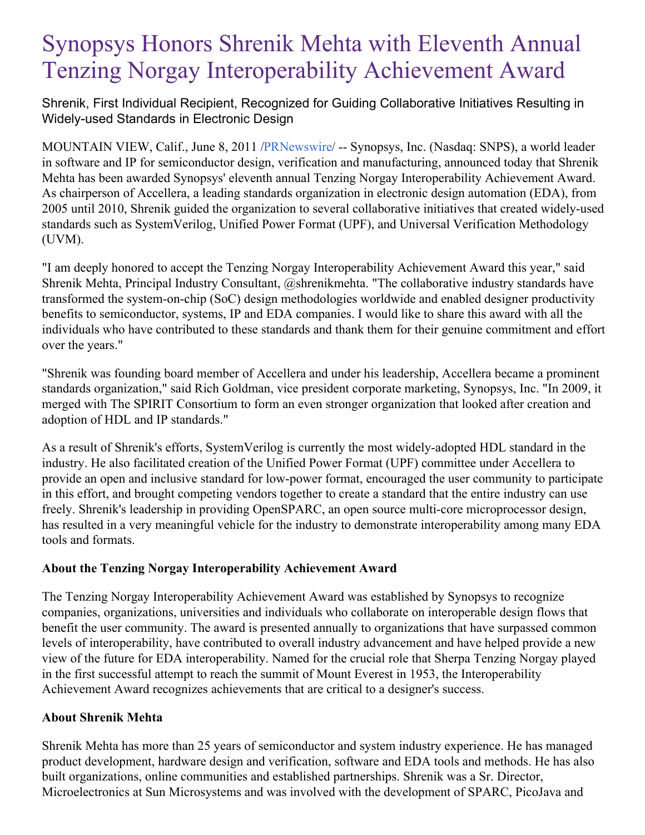# Synopsys Honors Shrenik Mehta with Eleventh Annual Tenzing Norgay Interoperability Achievement Award

Shrenik, First Individual Recipient, Recognized for Guiding Collaborative Initiatives Resulting in Widely-used Standards in Electronic Design

MOUNTAIN VIEW, Calif., June 8, 2011 [/PRNewswire](http://www.prnewswire.com/)/ -- Synopsys, Inc. (Nasdaq: SNPS), a world leader in software and IP for semiconductor design, verification and manufacturing, announced today that Shrenik Mehta has been awarded Synopsys' eleventh annual Tenzing Norgay Interoperability Achievement Award. As chairperson of Accellera, a leading standards organization in electronic design automation (EDA), from 2005 until 2010, Shrenik guided the organization to several collaborative initiatives that created widely-used standards such as SystemVerilog, Unified Power Format (UPF), and Universal Verification Methodology (UVM).

"I am deeply honored to accept the Tenzing Norgay Interoperability Achievement Award this year," said Shrenik Mehta, Principal Industry Consultant, @shrenikmehta. "The collaborative industry standards have transformed the system-on-chip (SoC) design methodologies worldwide and enabled designer productivity benefits to semiconductor, systems, IP and EDA companies. I would like to share this award with all the individuals who have contributed to these standards and thank them for their genuine commitment and effort over the years."

"Shrenik was founding board member of Accellera and under his leadership, Accellera became a prominent standards organization," said Rich Goldman, vice president corporate marketing, Synopsys, Inc. "In 2009, it merged with The SPIRIT Consortium to form an even stronger organization that looked after creation and adoption of HDL and IP standards."

As a result of Shrenik's efforts, SystemVerilog is currently the most widely-adopted HDL standard in the industry. He also facilitated creation of the Unified Power Format (UPF) committee under Accellera to provide an open and inclusive standard for low-power format, encouraged the user community to participate in this effort, and brought competing vendors together to create a standard that the entire industry can use freely. Shrenik's leadership in providing OpenSPARC, an open source multi-core microprocessor design, has resulted in a very meaningful vehicle for the industry to demonstrate interoperability among many EDA tools and formats.

# **About the Tenzing Norgay Interoperability Achievement Award**

The Tenzing Norgay Interoperability Achievement Award was established by Synopsys to recognize companies, organizations, universities and individuals who collaborate on interoperable design flows that benefit the user community. The award is presented annually to organizations that have surpassed common levels of interoperability, have contributed to overall industry advancement and have helped provide a new view of the future for EDA interoperability. Named for the crucial role that Sherpa Tenzing Norgay played in the first successful attempt to reach the summit of Mount Everest in 1953, the Interoperability Achievement Award recognizes achievements that are critical to a designer's success.

## **About Shrenik Mehta**

Shrenik Mehta has more than 25 years of semiconductor and system industry experience. He has managed product development, hardware design and verification, software and EDA tools and methods. He has also built organizations, online communities and established partnerships. Shrenik was a Sr. Director, Microelectronics at Sun Microsystems and was involved with the development of SPARC, PicoJava and